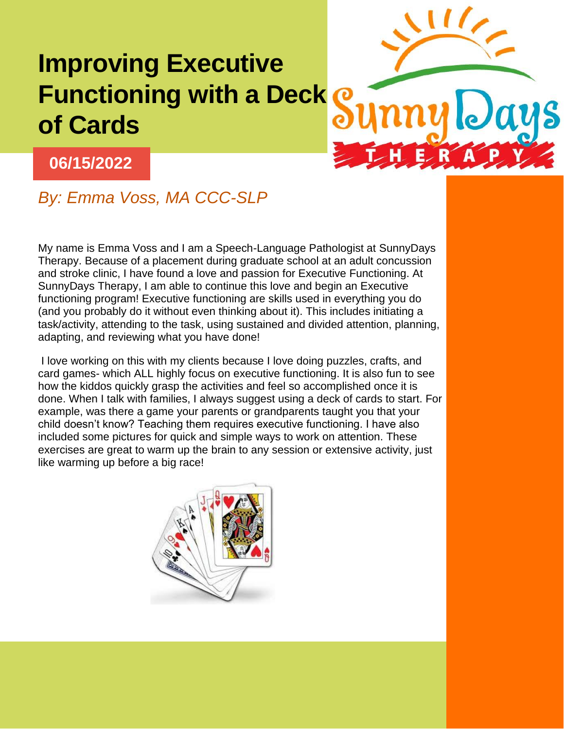## **Improving Executive Functioning with a Deck of Cards**



## **06/15/2022**

## *By: Emma Voss, MA CCC-SLP*

My name is Emma Voss and I am a Speech-Language Pathologist at SunnyDays Therapy. Because of a placement during graduate school at an adult concussion and stroke clinic, I have found a love and passion for Executive Functioning. At SunnyDays Therapy, I am able to continue this love and begin an Executive functioning program! Executive functioning are skills used in everything you do (and you probably do it without even thinking about it). This includes initiating a task/activity, attending to the task, using sustained and divided attention, planning, adapting, and reviewing what you have done!

I love working on this with my clients because I love doing puzzles, crafts, and card games- which ALL highly focus on executive functioning. It is also fun to see how the kiddos quickly grasp the activities and feel so accomplished once it is done. When I talk with families, I always suggest using a deck of cards to start. For example, was there a game your parents or grandparents taught you that your child doesn't know? Teaching them requires executive functioning. I have also included some pictures for quick and simple ways to work on attention. These exercises are great to warm up the brain to any session or extensive activity, just like warming up before a big race!